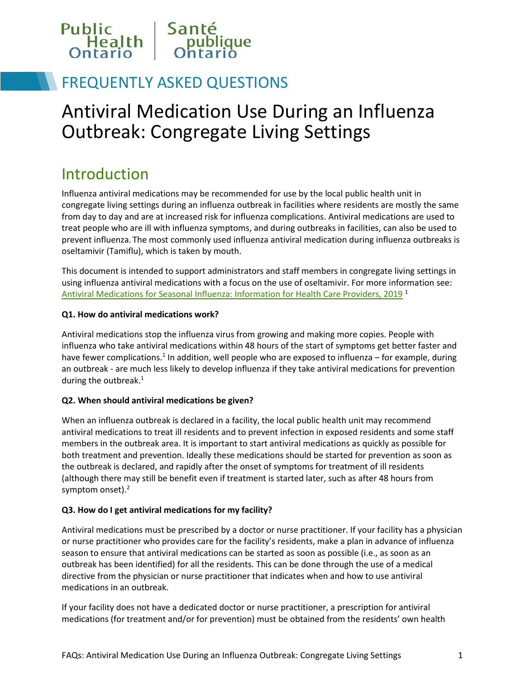

## FREQUENTLY ASKED QUESTIONS

# Antiviral Medication Use During an Influenza Outbreak: Congregate Living Settings

### Introduction

Influenza antiviral medications may be recommended for use by the local public health unit in congregate living settings during an influenza outbreak in facilities where residents are mostly the same from day to day and are at increased risk for influenza complications. Antiviral medications are used to treat people who are ill with influenza symptoms, and during outbreaks in facilities, can also be used to prevent influenza. The most commonly used influenza antiviral medication during influenza outbreaks is oseltamivir (Tamiflu), which is taken by mouth.

This document is intended to support administrators and staff members in congregate living settings in using influenza antiviral medications with a focus on the use of oseltamivir. For more information see: [Antiviral Medications for Seasonal Influenza: Information for Health Care Providers, 2019](https://www.publichealthontario.ca/-/media/documents/q/2019/qa-antiviral-medication-influenza.pdf?la=en) <sup>1</sup>

#### **Q1. How do antiviral medications work?**

Antiviral medications stop the influenza virus from growing and making more copies. People with influenza who take antiviral medications within 48 hours of the start of symptoms get better faster and have fewer complications.<sup>1</sup> In addition, well people who are exposed to influenza – for example, during an outbreak - are much less likely to develop influenza if they take antiviral medications for prevention during the outbreak.<sup>1</sup>

#### **Q2. When should antiviral medications be given?**

When an influenza outbreak is declared in a facility, the local public health unit may recommend antiviral medications to treat ill residents and to prevent infection in exposed residents and some staff members in the outbreak area. It is important to start antiviral medications as quickly as possible for both treatment and prevention. Ideally these medications should be started for prevention as soon as the outbreak is declared, and rapidly after the onset of symptoms for treatment of ill residents (although there may still be benefit even if treatment is started later, such as after 48 hours from symptom onset).<sup>2</sup>

#### **Q3. How do I get antiviral medications for my facility?**

Antiviral medications must be prescribed by a doctor or nurse practitioner. If your facility has a physician or nurse practitioner who provides care for the facility's residents, make a plan in advance of influenza season to ensure that antiviral medications can be started as soon as possible (i.e., as soon as an outbreak has been identified) for all the residents. This can be done through the use of a medical directive from the physician or nurse practitioner that indicates when and how to use antiviral medications in an outbreak.

If your facility does not have a dedicated doctor or nurse practitioner, a prescription for antiviral medications (for treatment and/or for prevention) must be obtained from the residents' own health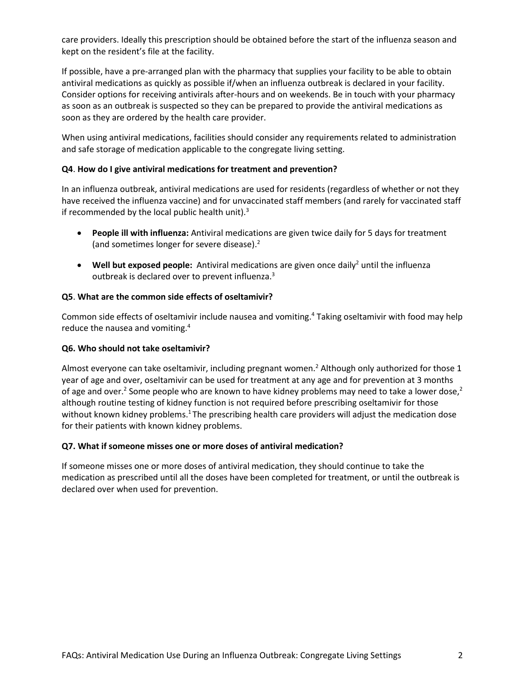care providers. Ideally this prescription should be obtained before the start of the influenza season and kept on the resident's file at the facility.

If possible, have a pre-arranged plan with the pharmacy that supplies your facility to be able to obtain antiviral medications as quickly as possible if/when an influenza outbreak is declared in your facility. Consider options for receiving antivirals after-hours and on weekends. Be in touch with your pharmacy as soon as an outbreak is suspected so they can be prepared to provide the antiviral medications as soon as they are ordered by the health care provider.

When using antiviral medications, facilities should consider any requirements related to administration and safe storage of medication applicable to the congregate living setting.

#### **Q4**. **How do I give antiviral medications for treatment and prevention?**

In an influenza outbreak, antiviral medications are used for residents (regardless of whether or not they have received the influenza vaccine) and for unvaccinated staff members (and rarely for vaccinated staff if recommended by the local public health unit). $3$ 

- **People ill with influenza:** Antiviral medications are given twice daily for 5 days for treatment (and sometimes longer for severe disease). 2
- **Well but exposed people:** Antiviral medications are given once daily<sup>2</sup> until the influenza outbreak is declared over to prevent influenza.<sup>3</sup>

#### **Q5**. **What are the common side effects of oseltamivir?**

Common side effects of oseltamivir include nausea and vomiting.<sup>4</sup> Taking oseltamivir with food may help reduce the nausea and vomiting.<sup>4</sup>

#### **Q6. Who should not take oseltamivir?**

Almost everyone can take oseltamivir, including pregnant women.<sup>2</sup> Although only authorized for those 1 year of age and over, oseltamivir can be used for treatment at any age and for prevention at 3 months of age and over.<sup>2</sup> Some people who are known to have kidney problems may need to take a lower dose,<sup>2</sup> although routine testing of kidney function is not required before prescribing oseltamivir for those without known kidney problems.<sup>1</sup> The prescribing health care providers will adjust the medication dose for their patients with known kidney problems.

#### **Q7. What if someone misses one or more doses of antiviral medication?**

If someone misses one or more doses of antiviral medication, they should continue to take the medication as prescribed until all the doses have been completed for treatment, or until the outbreak is declared over when used for prevention.